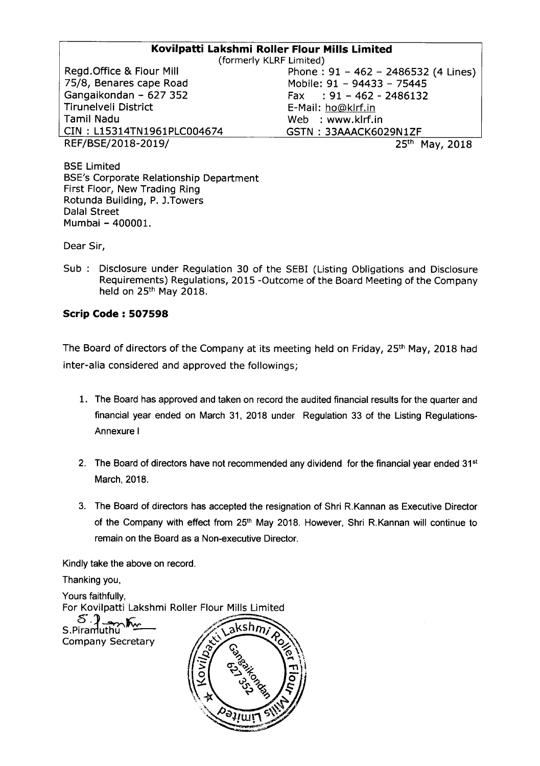# **Kovilpatti Lakshmi Roller Flour Mills Limited**

Regd.Office & Flour Mill 75/8, Benares cape Road Gangaikondan - 627 352 Tirunelveli District Tamil Nadu CIN : L15314TN1961PLC004674 REF/BSE/2018-2019/ 25<sup>th</sup> May, 2018

(formerly KLRF Limited) Phone: 91 - 462 - 2486532 (4 Lines) Mobile: 91 - 94433 - 75445 Fax: 91 - 462 - 2486132 E-Mail: ho@klrf.in Web : www.klrf.in GSTN : 33AAACK6029N 1ZF

BSE Limited BSE's Corporate Relationship Department First Floor, New Trading Ring Rotunda Building, P. J.Towers Dalal Street Mumbai - 400001.

Dear Sir,

Sub: Disclosure under Regulation 30 of the SEB! (Listing Obligations and Disclosure Requirements) Regulations, 2015 -Outcome of the Board Meeting of the Company held on 25<sup>th</sup> May 2018.

## **Scrip Code: 507598**

The Board of directors of the Company at its meeting held on Friday, 25<sup>th</sup> May, 2018 had inter-alia considered and approved the followings;

- 1. The Board has approved and taken on record the audited financial results for the quarter and financial year ended on March 31, 2018 under Regulation 33 of the Listing Regulations-Annexure I
- 2. The Board of directors have not recommended any dividend for the financial year ended  $31<sup>st</sup>$ March, 2018.
- 3. The Board of directors has accepted the resignation of Shri R.Kannan as Executive Director of the Company with effect from 25<sup>th</sup> May 2018. However, Shri R.Kannan will continue to remain on the Board as a Non-executive Director.

Kindly take the above on record.

Thanking you,

Yours faithfully. For Kovilpatti Lakshmi Roller Flour Mills Limited  $S.\overline{?}$ ksh $\overline{m}$ Company Secretary

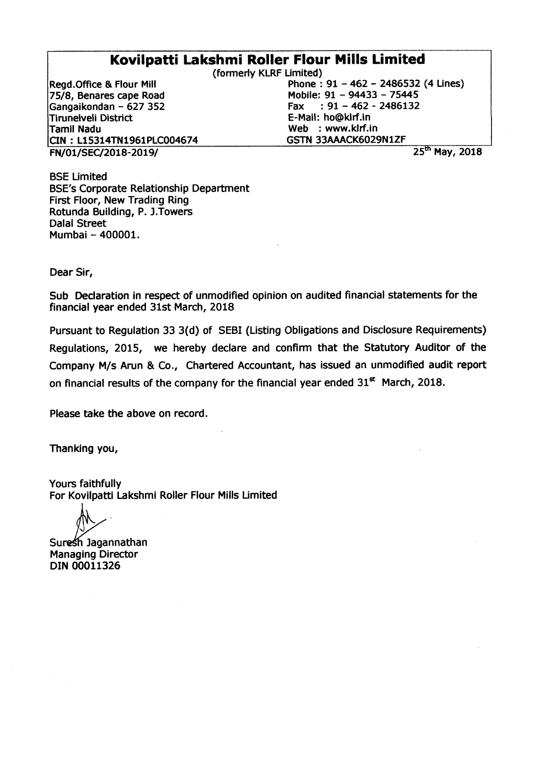# **Kovilpatti Lakshmi Roller Flour Mills Limited**

FN/01/SEC/2018-2019/ 25<sup>th</sup> May, 2018 Read.Office & Flour Mill 75/8, Benares cape Road Gangaikondan - 627 352 Tirunelveli District Tamil Nadu CIN : 115314TN1961PlC004674

(formerly KlRF limited) Phone: 91 - 462 - 2486532 (4 lines) Mobile: 91 - 94433 - 75445 Fax:  $91 - 462 - 2486132$ E-Mail: ho@klrf.in Web : www.klrf.in GSTN 33AAACK6029N1ZF

BSE Limited BSE's Corporate Relationship Department First Floor, New Trading Ring Rotunda Building, P. J.Towers Dalal Street Mumbai - 400001.

Dear Sir,

Sub Declaration in respect of unmodified opinion on audited financial statements for the financial year ended 31st March, 2018

Pursuant to Regulation 33 3(d) of SEBI (Listing Obligations and Disclosure Requirements) Regulations, 2015, we hereby declare and confirm that the Statutory Auditor of the Company *Mis* Arun & Co., Chartered Accountant, has issued an unmodified audit report on financial results of the company for the financial year ended  $31^{st}$  March, 2018.

Please take the above on record.

Thanking you,

Yours faithfully For Kovilpatti Lakshmi Roller Flour Mills Limited

Suresh Jagannathan Managing Director DIN 00011326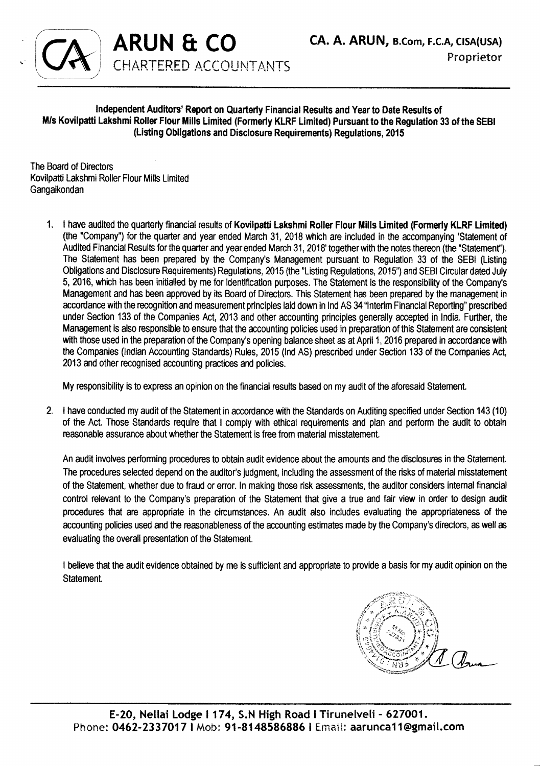

### Independent Auditors' Report on Quarterly Financial Results and Year to Date Results of M/s Kovilpatti Lakshmi Roller Flour Mills Limited (Formerly KLRF Limited) Pursuant to the Regulation 33 of the SEBI (Listing Obligations and Disclosure Requirements) Regulations, 2015

The Board of Directors Kovilpatti Lakshmi Roller Flour Mills Limited Gangaikondan

**ARUN & co**

**CHARTERED ACCOUNTANTS** 

1. I have audited the quarterly financial results of Kovilpatti Lakshmi Roller Flour Mills Limited (Former1y KLRF Limited) (the ·Company") for the quarter and year ended March 31, 2018 which are included in the accompanying 'Statement of Audited Financial Results for the quarter and year ended March 31, 2018' together with the notes thereon (the "Statement"). The Statement has been prepared by the Company's Management pursuant to Regulation 33 of the SEBI (Listing Obligations and Disclosure Requirements) Regulations, 2015 (the "Listing Regulations, 2015") and SEBI Circular dated July 5, 2016, which has been initialled by me for identification purposes. The Statement is the responsibility of the Company's Management and has been approved by its Board of Directors. This Statement has been prepared by the management in accordance with the recognition and measurement principles laid down in Ind AS 34 "Interim Financial Reporting" prescribed under Section 133 of the Companies Act, 2013 and other accounting principles generally accepted in India. Further, the Management is also responsible to ensure that the accounting pOlicies used in preparation of this Statement are consistent with those used in the preparation of the Company's opening balance sheet as at April 1, 2016 prepared in accordance with the Companies (Indian Accounting Standards) Rules, 2015 (Ind AS) prescribed under Section 133 of the Companies Act, 2013 and other recognised accounting practices and policies.

My responsibility is to express an opinion on the financial results based on my audit of the aforesaid Statement.

2. I have conducted my audit of the Statement in accordance with the Standards on Auditing specified under Section 143 (10) of the Act. Those Standards require that I comply with ethical requirements and plan and perform the audit to obtain reasonable assurance about whether the Statement is free from material misstatement.

An audit involves performing procedures to obtain audit evidence about the amounts and the disclosures in the Statement. The procedures selected depend on the auditor's judgment, including the assessment of the risks of material misstatement of the Statement, whether due to fraud or error. In making those risk assessments, the auditor considers intemal financial control relevant to the Company's preparation of the Statement that give a true and fair view in order to design audit procedures that are appropriate in the circumstances. An audit also includes evaluating the appropriateness of the accounting policies used and the reasonableness of the accounting estimates made by the Company's directors, as well as evaluating the overall presentation of the Statement.

I believe that the audit evidence obtained by me is sufficient and appropriate to provide a basis for my audit opinion on the Statement.

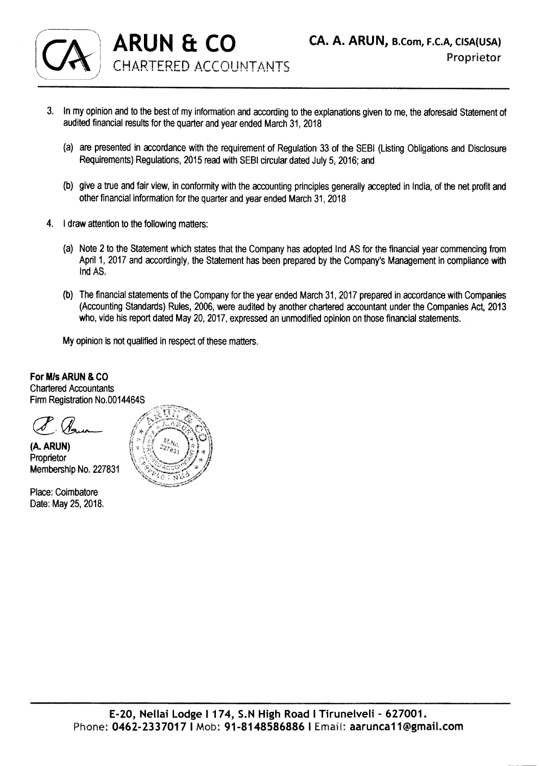

- 3. In my opinion and to the best of my information and according to the explanations given to me, the aforesaid Statement of audited financial results for the quarter and year ended March 31, 2018
	- (a) are presented in accordance with the requirement of Regulation 33 of the SEBI (Listing Obligations and Disclosure Requirements) Regulations, 2015 read with SEBI circular dated July 5, 2016; and
	- (b) give a true and fair view, in conformity with the accounting principles generally accepted in India, of the net profit and other financial information for the quarter and year ended March 31, 2018
- 4. I draw attention to the following matters:
	- (a) Note 2 to the Statement which states that the Company has adopted Ind AS for the financial year commencing from April 1, 2017 and accordingly, the Statement has been prepared by the Company's Management in compliance with IndAS.
	- (b) The financial statements of the Company for the year ended March 31, 2017 prepared in accordance with Companies (Accounting Standards) Rules, 2006, were audited by another chartered accountant under the Companies Act, 2013 who, vide his report dated May 20, 2017, expressed an unmodified opinion on those financial statements.

My opinion is not qualified in respect of these matters.

For MIs ARUN & CO Chartered Accountants Firm Registration NO.0014464S

(A. ARUN)

: Proprietor<br>:Membership No. 227831

Place: Coimbatore Date: May 25, 2018.

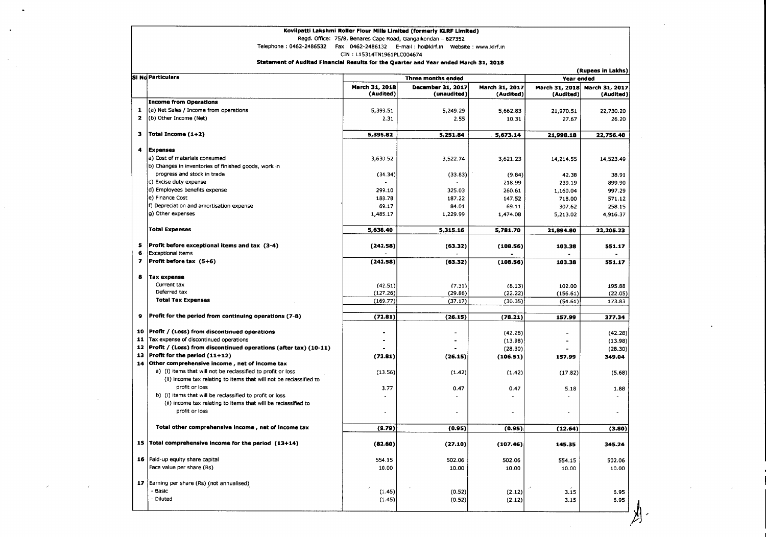### Kovilpatti Lakshmi Roller Flour Mills Limited (formerly KLRF Limited)

Regd. Office: 75/8, Benares Cape Road, Gangaikondan - 627352

Telephone: 0462-2486532 Fax: 0462-2486132 E-mail: ho@klrf.in Website: www.klrf.in

CIN: L15314TN1961PLC004674

### Statement of Audited Financial Results for the Quarter and Year ended March 31, 2018

|                          | <b>SI No Particulars</b>                                                         | (Rupees in Lakhs)           |                                         |                             |                             |                             |
|--------------------------|----------------------------------------------------------------------------------|-----------------------------|-----------------------------------------|-----------------------------|-----------------------------|-----------------------------|
|                          |                                                                                  | <b>Three months ended</b>   |                                         |                             | Year ended                  |                             |
|                          |                                                                                  | March 31, 2018<br>(Audited) | <b>December 31, 2017</b><br>(unaudited) | March 31, 2017<br>(Audited) | March 31, 2018<br>(Audited) | March 31, 2017<br>(Audited) |
|                          | <b>Income from Operations</b>                                                    |                             |                                         |                             |                             |                             |
| $\mathbf{1}$             | (a) Net Sales / Income from operations                                           | 5.393.51                    | 5,249.29                                | 5,662.83                    | 21,970.51                   | 22,730.20                   |
| $\mathbf{z}$             | (b) Other Income (Net)                                                           | 2.31                        | 2.55                                    | 10.31                       | 27.67                       | 26.20                       |
| з                        | Total Income (1+2)                                                               | 5,395.82                    | 5,251.84                                | 5.673.14                    | 21,998.18                   | 22.756.40                   |
| 4                        | <b>Expenses</b>                                                                  |                             |                                         |                             |                             |                             |
|                          | a) Cost of materials consumed                                                    | 3,630.52                    | 3,522.74                                | 3.621.23                    | 14,214.55                   | 14,523.49                   |
|                          | b) Changes in inventories of finished goods, work in                             |                             |                                         |                             |                             |                             |
|                          | progress and stock in trade                                                      | (34.34)                     | (33.83)                                 | (9.84)                      | 42.38                       | 38.91                       |
|                          | c) Excise duty expense                                                           |                             |                                         | 218.99                      | 239.19                      | 899.90                      |
|                          | d) Employees benefits expense                                                    | 299.10                      | 325.03                                  | 260.61                      | 1,160.04                    | 997.29                      |
|                          | e) Finance Cost                                                                  | 188.78                      | 187.22                                  | 147.52                      | 718.00                      | 571.12                      |
|                          | f) Depreciation and amortisation expense                                         | 69.17                       | 84.01                                   | 69.11                       | 307.62                      | 258.15                      |
|                          | g) Other expenses                                                                | 1,485.17                    | 1,229.99                                | 1,474.08                    | 5,213.02                    | 4,916.37                    |
|                          | <b>Total Expenses</b>                                                            | 5,638.40                    | 5,315.16                                | 5,781.70                    | 21,894.80                   | 22,205.23                   |
|                          |                                                                                  |                             |                                         |                             |                             |                             |
| 5<br>6                   | Profit before exceptional items and tax (3-4)<br><b>Exceptional items</b>        | (242.58)                    | (63.32)                                 | (108.56)                    | 103.38                      | 551.17                      |
| $\overline{\phantom{a}}$ | Profit before tax (5+6)                                                          | (242.58)                    | (63.32)                                 | (108.56)                    | 103.38                      | 551.17                      |
| 8                        | <b>Tax expense</b>                                                               |                             |                                         |                             |                             |                             |
|                          | Current tax                                                                      | (42.51)                     | (7.31)                                  | (8.13)                      | 102.00                      | 195.88                      |
|                          | Deferred tax                                                                     | (127.26)                    | (29.86)                                 | (22.22)                     | (156.61)                    | (22.05)                     |
|                          | <b>Total Tax Expenses</b>                                                        | (169.77)                    | (37.17)                                 | (30.35)                     | (54.61)                     | 173.83                      |
| 9                        | Profit for the period from continuing operations (7-8)                           | (72.81)                     | (26.15)                                 | (78.21)                     | 157.99                      | 377.34                      |
|                          |                                                                                  |                             |                                         |                             |                             |                             |
| 10                       | Profit / (Loss) from discontinued operations                                     |                             |                                         | (42.28)                     | $\blacksquare$              | (42.28)                     |
| 11                       | Tax expense of discontinued operations                                           |                             | $\sim$                                  | (13.98)                     |                             | (13.98)                     |
| 12                       | Profit / (Loss) from discontinued operations (after tax) (10-11)                 |                             |                                         | (28.30)                     |                             | (28.30)                     |
| 13                       | Profit for the period (11+12)                                                    | (72.81)                     | (26.15)                                 | (106.51)                    | 157.99                      | 349.04                      |
| 14                       | Other comprehensive income, net of income tax                                    |                             |                                         |                             |                             |                             |
|                          | a) (i) items that will not be reclassified to profit or loss                     | (13.56)                     | (1.42)                                  | (1.42)                      | (17.82)                     | (5.68)                      |
|                          | (ii) income tax relating to items that will not be reclassified to               |                             |                                         |                             |                             |                             |
|                          | profit or loss                                                                   | 3.77                        | 0.47                                    | 0.47                        | 5.18                        | 1.88                        |
|                          | b) (i) items that will be reclassified to profit or loss                         |                             |                                         |                             |                             |                             |
|                          | (ii) income tax relating to items that will be reclassified to<br>profit or loss |                             |                                         |                             |                             |                             |
|                          | Total other comprehensive income, net of income tax                              | (9.79)                      | (0.95)                                  | (0.95)                      | (12.64)                     | (3.80)                      |
|                          |                                                                                  |                             |                                         |                             |                             |                             |
|                          | 15   Total comprehensive income for the period $(13+14)$                         | (82.60)                     | (27.10)                                 | (107.46)                    | 145.35                      | 345.24                      |
| 16                       | Paid-up equity share capital                                                     | 554.15                      | 502.06                                  | 502.06                      | 554.15                      | 502.06                      |
|                          | Face value per share (Rs)                                                        | 10.00                       | 10.00                                   | 10.00                       | 10.00                       | 10.00                       |
|                          | 17 Earning per share (Rs) (not annualised)                                       |                             |                                         |                             |                             |                             |
|                          | - Basic                                                                          | (1.45)                      | (0.52)                                  | (2.12)                      | 3.15                        | 6.95                        |
|                          | - Diluted                                                                        | (1.45)                      | (0.52)                                  | (2.12)                      | 3.15                        | 6.95                        |
|                          |                                                                                  |                             |                                         |                             |                             |                             |

 $\sim$ 

 $\mathcal{L}$ 

 $\lambda$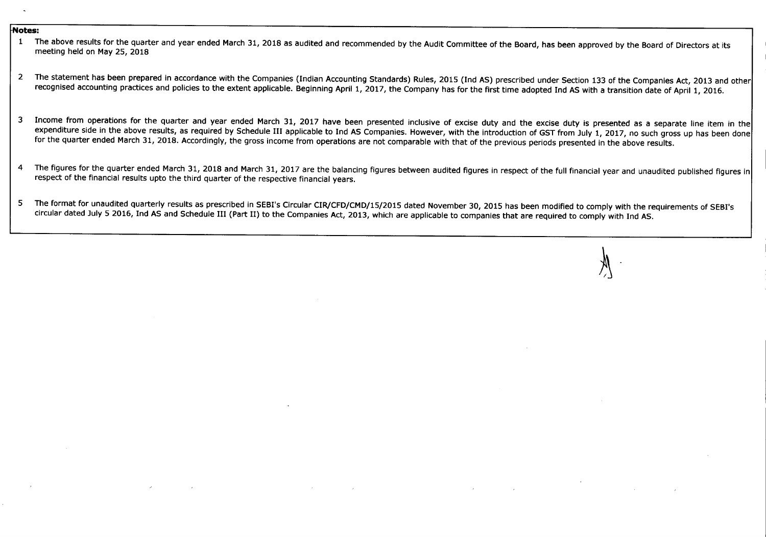#### **Notes:**

- 1 The above results for the quarter and year ended March 31, 2018 as audited and recommended by the Audit Committee of the Board, has been approved by the Board of Directors at its meeting held on May 25, 2018
- 2 The statement has been prepared in accordance with the Companies (Indian Accounting Standards) Rules, 2015 (Ind AS) prescribed under Section 133 of the Companies Act, 2013 and other recognised accounting practices and policies to the extent applicable. Beginning April 1, 2017, the Company has for the first time adopted Ind AS with a transition date of April 1, 2016.
- 3 Income from operations for the quarter and year ended March 31, 2017 have been presented inclusive of excise duty and the excise duty is presented as a separate line item in the expenditure side in the above results, as required by Schedule III applicable to Ind AS Companies. However, with the introduction of GST from July 1, 2017, no such gross up has been done for the quarter ended March 31, 2018. Accordingly, the gross income from operations are not comparable with that of the previous periods presented in the above results.
- 4 The figures for the quarter ended March 31, 2018 and March 31, 2017 are the balancing figures between audited figures in respect of the full financial year and unaudited published figures in respect of the financial results upto the third quarter of the respective financial years.
- 5 The format for unaudited quarterly results as prescribed in SEBI's Circular CIR/CFD/CMD/15/2015 dated November 30, 2015 has been modified to comply with the requirements of SEBI's circular dated July 5 2016, Ind AS and Schedule III (Part II) to the Companies Act, 2013, which are applicable to companies that are required to comply with Ind AS.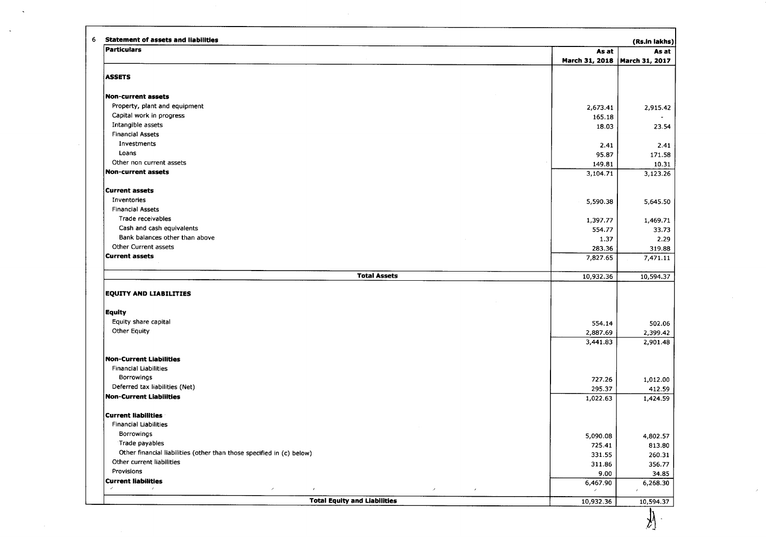| Particulars                                                                                                                | As at                           | As at                                                                                                     |
|----------------------------------------------------------------------------------------------------------------------------|---------------------------------|-----------------------------------------------------------------------------------------------------------|
|                                                                                                                            | March 31, 2018   March 31, 2017 |                                                                                                           |
| <b>ASSETS</b>                                                                                                              |                                 |                                                                                                           |
| <b>Non-current assets</b>                                                                                                  |                                 |                                                                                                           |
| Property, plant and equipment                                                                                              | 2,673.41                        | 2,915.42                                                                                                  |
| Capital work in progress                                                                                                   | 165.18                          |                                                                                                           |
| Intangible assets                                                                                                          | 18.03                           | 23.54                                                                                                     |
| <b>Financial Assets</b>                                                                                                    |                                 |                                                                                                           |
| Investments                                                                                                                | 2.41                            | 2.41                                                                                                      |
| Loans                                                                                                                      | 95.87                           | 171.58                                                                                                    |
| Other non current assets                                                                                                   | 149.81                          | 10.31                                                                                                     |
| <b>Non-current assets</b>                                                                                                  | 3,104.71                        | 3,123.26                                                                                                  |
| <b>Current assets</b>                                                                                                      |                                 |                                                                                                           |
| Inventories                                                                                                                | 5,590.38                        | 5,645.50                                                                                                  |
| <b>Financial Assets</b>                                                                                                    |                                 |                                                                                                           |
| Trade receivables                                                                                                          | 1,397.77                        | 1,469.71                                                                                                  |
| Cash and cash equivalents                                                                                                  | 554.77                          | 33.73                                                                                                     |
| Bank balances other than above                                                                                             | 1.37                            | 2.29                                                                                                      |
| Other Current assets                                                                                                       | 283.36                          | 319.88                                                                                                    |
| <b>Current assets</b>                                                                                                      | 7,827.65                        | 7,471.11                                                                                                  |
|                                                                                                                            |                                 |                                                                                                           |
| <b>Total Assets</b>                                                                                                        | 10,932.36                       |                                                                                                           |
| <b>EQUITY AND LIABILITIES</b>                                                                                              |                                 |                                                                                                           |
| <b>Equity</b>                                                                                                              |                                 | 10,594.37                                                                                                 |
| Equity share capital                                                                                                       | 554.14                          | 502.06                                                                                                    |
| <b>Other Equity</b>                                                                                                        | 2,887.69                        |                                                                                                           |
|                                                                                                                            | 3,441.83                        |                                                                                                           |
| <b>Non-Current Liabilities</b>                                                                                             |                                 |                                                                                                           |
| <b>Financial Liabilities</b>                                                                                               |                                 | 2,399.42<br>2,901.48                                                                                      |
| Borrowings                                                                                                                 | 727.26                          |                                                                                                           |
| Deferred tax liabilities (Net)                                                                                             | 295.37                          |                                                                                                           |
|                                                                                                                            | 1,022.63                        |                                                                                                           |
| <b>Non-Current Liabilities</b><br><b>Current liabilities</b>                                                               |                                 |                                                                                                           |
| <b>Financial Liabilities</b>                                                                                               |                                 |                                                                                                           |
| Borrowings                                                                                                                 | 5,090.08                        |                                                                                                           |
| Trade payables                                                                                                             | 725.41                          |                                                                                                           |
| Other financial liabilities (other than those specified in (c) below)                                                      | 331.55                          |                                                                                                           |
| Other current liabilities                                                                                                  | 311.86                          |                                                                                                           |
| Provisions                                                                                                                 | 9.00                            |                                                                                                           |
| <b>Current liabilities</b><br>$\mathcal{S}$<br>$\mathcal{L}_{\mathcal{A}}$<br>$\mathcal{S}_{\mathcal{A}}$<br>$\mathcal{E}$ | 6,467.90                        | 1,012.00<br>412.59<br>1,424.59<br>4,802.57<br>813.80<br>260.31<br>356.77<br>34.85<br>6,268.30<br>$\prime$ |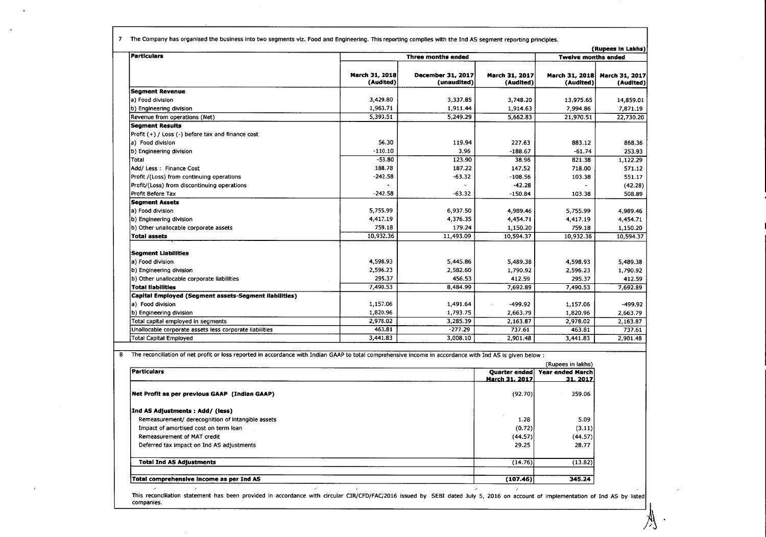7 The Company has organised the business into two segments viz. Food and Engineering. This reporting complies with the Ind AS segment reporting principles.

|                                                         | (Rupees in Lakhs)           |                                  |                             |                             |                             |  |
|---------------------------------------------------------|-----------------------------|----------------------------------|-----------------------------|-----------------------------|-----------------------------|--|
| <i><b>Particulars</b></i>                               | <b>Three months ended</b>   |                                  |                             | <b>Twelve months ended</b>  |                             |  |
|                                                         | March 31, 2018<br>(Audited) | December 31, 2017<br>(unaudited) | March 31, 2017<br>(Audited) | March 31, 2018<br>(Audited) | March 31, 2017<br>(Audited) |  |
| <b>Segment Revenue</b>                                  |                             |                                  |                             |                             |                             |  |
| a) Food division                                        | 3,429.80                    | 3,337.85                         | 3,748.20                    | 13,975.65                   | 14,859.01                   |  |
| b) Engineering division                                 | 1,963.71                    | 1,911.44                         | 1,914.63                    | 7,994.86                    | 7,871.19                    |  |
| Revenue from operations (Net)                           | 5,393.51                    | 5,249.29                         | 5,662.83                    | 21,970.51                   | 22,730.20                   |  |
| <b>Segment Results</b>                                  |                             |                                  |                             |                             |                             |  |
| Profit (+) / Loss (-) before tax and finance cost       |                             |                                  |                             |                             |                             |  |
| a) Food division                                        | 56.30                       | 119.94                           | 227.63                      | 883.12                      | 868.36                      |  |
| b) Engineering division                                 | $-110.10$                   | 3.96                             | $-188.67$                   | $-61.74$                    | 253.93                      |  |
| Total                                                   | $-53.80$                    | 123.90                           | 38.96                       | 821.38                      | 1,122.29                    |  |
| Add/ Less: Finance Cost                                 | 188.78                      | 187.22                           | 147.52                      | 718.00                      | 571.12                      |  |
| Profit /(Loss) from continuing operations               | $-242.58$                   | $-63.32$                         | $-108.56$                   | 103.38                      | 551.17                      |  |
| Profit/(Loss) from discontinuing operations             |                             |                                  | $-42.28$                    |                             | (42.28)                     |  |
| Profit Before Tax                                       | $-242.58$                   | $-63.32$                         | $-150.84$                   | 103.38                      | 508.89                      |  |
| <b>Seament Assets</b>                                   |                             |                                  |                             |                             |                             |  |
| a) Food division                                        | 5,755.99                    | 6,937.50                         | 4,989.46                    | 5,755.99                    | 4,989.46                    |  |
| b) Engineering division                                 | 4,417.19                    | 4,376.35                         | 4,454.71                    | 4,417.19                    | 4,454.71                    |  |
| b) Other unallocable corporate assets                   | 759.18                      | 179.24                           | 1,150.20                    | 759.18                      | 1,150.20                    |  |
| <b>Total assets</b>                                     | 10,932.36                   | 11,493.09                        | 10,594.37                   | 10,932.36                   | 10,594.37                   |  |
| <b>Segment Liabilities</b>                              |                             |                                  |                             |                             |                             |  |
| a) Food division                                        | 4,598.93                    | 5,445.86                         | 5,489.38                    | 4,598.93                    | 5.489.38                    |  |
| b) Engineering division                                 | 2,596.23                    | 2.582.60                         | 1,790.92                    | 2,596.23                    | 1,790.92                    |  |
| b) Other unallocable corporate liabilities              | 295.37                      | 456.53                           | 412.59                      | 295.37                      | 412.59                      |  |
| <b>Total liabilities</b>                                | 7,490.53                    | 8,484.99                         | 7,692.89                    | 7,490.53                    | 7,692.89                    |  |
| Capital Employed (Segment assets-Segment liabilities)   |                             |                                  |                             |                             |                             |  |
| a) Food division                                        | 1,157.06                    | 1,491.64                         | $-499.92$                   | 1,157.06                    | -499.92                     |  |
| b) Engineering division                                 | 1,820.96                    | 1,793.75                         | 2,663.79                    | 1,820.96                    | 2,663.79                    |  |
| Total capital employed in segments                      | 2,978.02                    | 3,285.39                         | 2,163.87                    | 2,978.02                    | 2,163.87                    |  |
| Unallocable corporate assets less corporate liabilities | 463.81                      | $-277.29$                        | 737.61                      | 463.81                      | 737.61                      |  |
| <b>Total Capital Employed</b>                           | 3,441.83                    | 3,008.10                         | 2,901.48                    | 3,441.83                    | 2,901.48                    |  |

8 The reconciliation of net profit or loss reported in accordance with Indian GAAP to total comprehensive income in accordance with Ind AS is given below :

|                                                   | (Rupees in lakhs)               |                             |  |  |
|---------------------------------------------------|---------------------------------|-----------------------------|--|--|
| Particulars                                       | Quarter ended<br>March 31, 2017 | Year ended March<br>31.2017 |  |  |
| Net Profit as per previous GAAP (Indian GAAP)     | (92.70)                         | 359.06                      |  |  |
| [Ind AS Adjustments: Add/ (less)                  |                                 |                             |  |  |
| Remeasurement/ derecognition of intangible assets | 1.28                            | 5.09                        |  |  |
| Impact of amortised cost on term loan             | (0.72)                          | (3.11)                      |  |  |
| Remeasurement of MAT credit                       | (44.57)                         | (44.57)                     |  |  |
| Deferred tax impact on Ind AS adjustments         | 29.25                           | 28.77                       |  |  |
| <b>Total Ind AS Adjustments</b>                   | (14.76)                         | (13.82)                     |  |  |
| Total comprehensive income as per Ind AS          | (107.46)                        | 345.24                      |  |  |

This reconciliation statement has been provided in accordance with circular CIR/CFD/FAC/2016 issued by SEBI dated July 5, 2016 on account of implementation of Ind AS by listed companies.